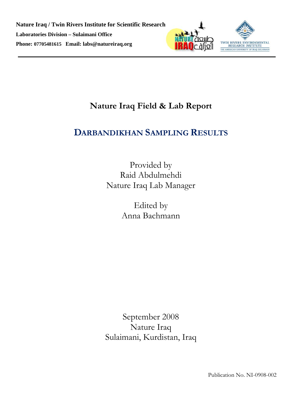

# **Nature Iraq Field & Lab Report**

# **DARBANDIKHAN SAMPLING RESULTS**

Provided by Raid Abdulmehdi Nature Iraq Lab Manager

> Edited by Anna Bachmann

September 2008 Nature Iraq Sulaimani, Kurdistan, Iraq

Publication No. NI-0908-002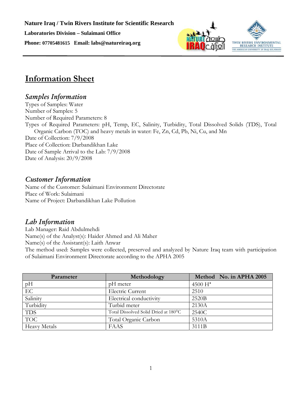



# **Information Sheet**

## *Samples Information*

Types of Samples: Water Number of Samples: 5 Number of Required Parameters: 8 Types of Required Parameters: pH, Temp, EC, Salinity, Turbidity, Total Dissolved Solids (TDS), Total Organic Carbon (TOC) and heavy metals in water: Fe, Zn, Cd, Pb, Ni, Cu, and Mn Date of Collection: 7/9/2008 Place of Collection: Darbandikhan Lake Date of Sample Arrival to the Lab: 7/9/2008 Date of Analysis: 20/9/2008

## *Customer Information*

Name of the Customer: Sulaimani Environment Directorate Place of Work: Sulaimani Name of Project: Darbandikhan Lake Pollution

## *Lab Information*

Lab Manager: Raid Abdulmehdi Name(s) of the Analyst(s): Haider Ahmed and Ali Maher Name(s) of the Assistant(s): Laith Anwar The method used: Samples were collected, preserved and analyzed by Nature Iraq team with participation of Sulaimani Environment Directorate according to the APHA 2005

| Parameter           | Methodology                          | Method No. in APHA 2005 |
|---------------------|--------------------------------------|-------------------------|
| pH                  | pH meter                             | $4500H^+$               |
| EC                  | <b>Electric Current</b>              | 2510                    |
| Salinity            | Electrical conductivity              | 2520B                   |
| Turbidity           | Turbid meter                         | 2130A                   |
| <b>TDS</b>          | Total Dissolved Solid Dried at 180°C | 2540C                   |
| <b>TOC</b>          | Total Organic Carbon                 | 5310A                   |
| <b>Heavy Metals</b> | FAAS                                 | 3111B                   |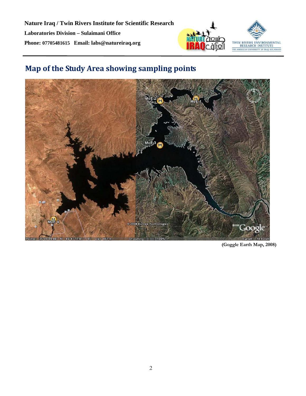

# **Map of the Study Area showing sampling points**



**(Goggle Earth Map, 2008)**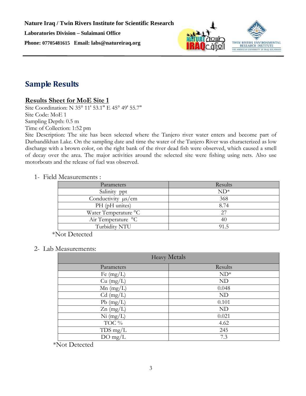



## **Sample Results**

## **Results Sheet for MoE Site 1**

Site Coordination: N 35° 11' 53.1" E 45° 49' 55.7" Site Code: MoE 1 Sampling Depth: 0.5 m Time of Collection: 1:52 pm

Site Description: The site has been selected where the Tanjero river water enters and become part of Darbandikhan Lake. On the sampling date and time the water of the Tanjero River was characterized as low discharge with a brown color, on the right bank of the river dead fish were observed, which caused a smell of decay over the area. The major activities around the selected site were fishing using nets. Also use motorboats and the release of fuel was observed.

#### 1- Field Measurements :

| Parameters              | Results |
|-------------------------|---------|
| Salinity ppt            | $ND^*$  |
| Conductivity $\mu s/cm$ | 368     |
| PH (pH unites)          | 8.74    |
| Water Temperature °C    | 27      |
| Air Temperature °C      | 40      |
| Turbidity NTU           | 91.5    |

\*Not Detected

### 2- Lab Measurements:

| <b>Heavy Metals</b> |           |
|---------------------|-----------|
| Parameters          | Results   |
| Fe $(mg/L)$         | $ND^*$    |
| $Cu$ (mg/L)         | <b>ND</b> |
| $Mn$ (mg/L)         | 0.048     |
| $Cd$ (mg/L)         | <b>ND</b> |
| $Pb$ (mg/L)         | 0.101     |
| $Zn$ (mg/L)         | <b>ND</b> |
| $Ni$ (mg/L)         | 0.021     |
| TOC %               | 4.62      |
| $TDS$ mg/L          | 245       |
| $DO$ mg/L           | 7.3       |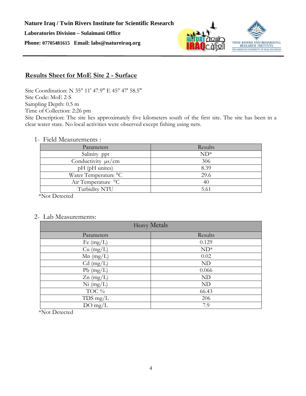

## **Results Sheet for MoE Site 2 - Surface**

Site Coordination: N 35° 11' 47.9" E 45° 47' 58.5" Site Code: MoE 2-S Sampling Depth: 0.5 m Time of Collection: 2:26 pm

## Site Description: The site lies approximately five kilometers south of the first site. The site has been in a clear water state. No local activities were observed except fishing using nets.

#### 1- Field Measurements :

| Parameters              | Results |
|-------------------------|---------|
| Salinity ppt            | $ND^*$  |
| Conductivity $\mu s/cm$ | 306     |
| pH (pH unites)          | 8.39    |
| Water Temperature °C    | 29.6    |
| Air Temperature °C      | 40      |
| Turbidity NTU           | 5.61    |
|                         |         |

\*Not Detected

#### 2- Lab Measurements:

| <b>Heavy Metals</b> |           |
|---------------------|-----------|
| Parameters          | Results   |
| Fe $(mg/L)$         | 0.129     |
| $Cu$ (mg/L)         | $ND^*$    |
| $Mn$ (mg/L)         | 0.02      |
| $Cd$ (mg/L)         | <b>ND</b> |
| $Pb$ (mg/L)         | 0.066     |
| $Zn$ (mg/L)         | ND        |
| $Ni$ (mg/L)         | ND        |
| TOC %               | 66.43     |
| $TDS$ mg/L          | 206       |
| $DO$ mg/L           | 7.9       |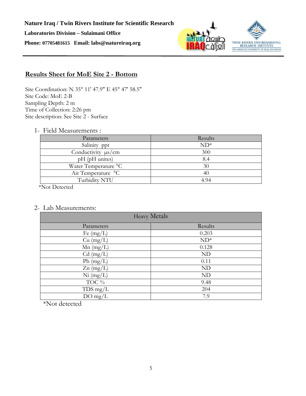



## **Results Sheet for MoE Site 2 - Bottom**

Site Coordination: N 35° 11' 47.9" E 45° 47' 58.5" Site Code: MoE 2-B Sampling Depth: 2 m Time of Collection: 2:26 pm Site description: See Site 2 - Surface

1- Field Measurements :

| Parameters              | Results |
|-------------------------|---------|
| Salinity ppt            | $ND^*$  |
| Conductivity $\mu s/cm$ | 300     |
| pH (pH unites)          | 8.4     |
| Water Temperature °C    | 30      |
| Air Temperature °C      | 40      |
| Turbidity NTU           | 4.94    |

\*Not Detected

2- Lab Measurements:

| <b>Heavy Metals</b> |         |
|---------------------|---------|
| Parameters          | Results |
| Fe $(mg/L)$         | 0.203   |
| $Cu$ (mg/L)         | $ND^*$  |
| $Mn$ (mg/L)         | 0.128   |
| $Cd$ (mg/L)         | ND      |
| $Pb$ (mg/L)         | 0.11    |
| $Zn$ (mg/L)         | ND      |
| $Ni$ (mg/L)         | ND      |
| TOC %               | 9.48    |
| $TDS$ mg/L          | 204     |
| $DO$ mg/L           | 7.9     |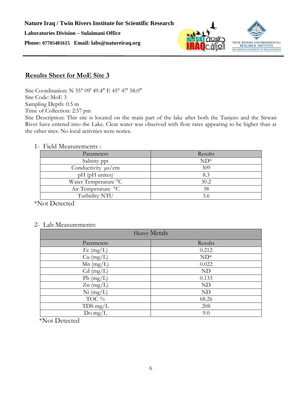

## **Results Sheet for MoE Site 3**

Site Coordination: N 35° 09' 49.4" E 45° 47' 58.0" Site Code: MoE 3 Sampling Depth: 0.5 m Time of Collection: 2:57 pm

Site Description: This site is located on the main part of the lake after both the Tanjero and the Sirwan River have entered into the Lake. Clear water was observed with flow rates appearing to be higher than at the other sites. No local activities were notice.

#### 1- Field Measurements :

| Parameters              | Results |
|-------------------------|---------|
| Salinity ppt            | $ND^*$  |
| Conductivity $\mu s/cm$ | 309     |
| pH (pH unites)          | 8.3     |
| Water Temperature °C    | 30.2    |
| Air Temperature °C      | 38      |
| Turbidity NTU           |         |

\*Not Detected

#### 2- Lab Measurements:

| <b>Heavy Metals</b> |         |
|---------------------|---------|
| Parameters          | Results |
| Fe $(mg/L)$         | 0.212   |
| $Cu$ (mg/L)         | $ND^*$  |
| $Mn$ (mg/L)         | 0.022   |
| $Cd$ (mg/L)         | ND      |
| $Pb$ (mg/L)         | 0.133   |
| $Zn$ (mg/L)         | ND      |
| $Ni$ (mg/L)         | ND      |
| TOC %               | 68.26   |
| $TDS$ mg/L          | 208     |
| Do mg/ $L$          | 9.0     |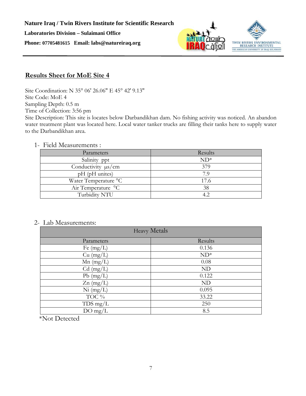

## **Results Sheet for MoE Site 4**

Site Coordination: N 35° 06' 26.06" E 45° 42' 9.13" Site Code: MoE 4 Sampling Depth: 0.5 m Time of Collection: 3:56 pm

Site Description: This site is locates below Darbandikhan dam. No fishing activity was noticed. An abandon water treatment plant was located here. Local water tanker trucks are filling their tanks here to supply water to the Darbandikhan area.

### 1- Field Measurements :

| Parameters              | Results |
|-------------------------|---------|
| Salinity ppt            | $ND^*$  |
| Conductivity $\mu s/cm$ | 379     |
| pH (pH unites)          | 7.9     |
| Water Temperature °C    | 17.6    |
| Air Temperature °C      | 38      |
| Turbidity NTU           | 4.2     |

### 2- Lab Measurements:

| <b>Heavy Metals</b> |         |
|---------------------|---------|
| Parameters          | Results |
| Fe $(mg/L)$         | 0.136   |
| $Cu$ (mg/L)         | $ND^*$  |
| $Mn$ (mg/L)         | 0.08    |
| $Cd$ (mg/L)         | ND      |
| $Pb$ (mg/L)         | 0.122   |
| $Zn$ (mg/L)         | ND      |
| $Ni$ (mg/L)         | 0.095   |
| TOC %               | 33.22   |
| $TDS$ mg/L          | 250     |
| $DO$ mg/L           | 8.5     |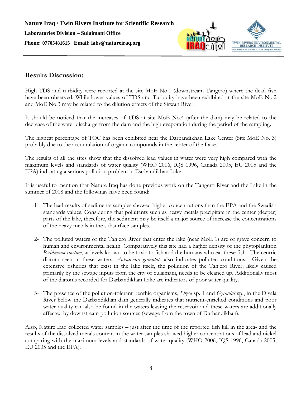

## **Results Discussion:**

High TDS and turbidity were reported at the site MoE No.1 (downstream Tangero) where the dead fish have been observed. While lower values of TDS and Turbidity have been exhibited at the site MoE No.2 and MoE No.3 may be related to the dilution effects of the Sirwan River.

It should be noticed that the increases of TDS at site MoE No.4 (after the dam) may be related to the decrease of the water discharge from the dam and the high evaporation during the period of the sampling.

The highest percentage of TOC has been exhibited near the Darbandikhan Lake Center (Site MoE No. 3) probably due to the accumulation of organic compounds in the center of the Lake.

The results of all the sites show that the dissolved lead values in water were very high compared with the maximum levels and standards of water quality (WHO 2006, IQS 1996, Canada 2005, EU 2005 and the EPA) indicating a serious pollution problem in Darbandikhan Lake.

It is useful to mention that Nature Iraq has done previous work on the Tangero River and the Lake in the summer of 2008 and the followings have been found:

- 1- The lead results of sediments samples showed higher concentrations than the EPA and the Swedish standards values. Considering that pollutants such as heavy metals precipitate in the center (deeper) parts of the lake, therefore, the sediment may be itself a major source of increase the concentrations of the heavy metals in the subsurface samples.
- 2- The polluted waters of the Tanjero River that enter the lake (near MoE 1) are of grave concern to human and environmental health. Comparatively this site had a higher density of the phytoplankton *Peridinium cinctum*, at levels known to be toxic to fish and the humans who eat these fish. The centric diatom seen in these waters, *Aulacoseira granulate* also indicates polluted conditions. Given the extensive fisheries that exist in the lake itself, the pollution of the Tanjero River, likely caused primarily by the sewage inputs from the city of Sulaimani, needs to be cleaned up. Additionally most of the diatoms recorded for Darbandikhan Lake are indicators of poor water quality.
- 3- The presence of the pollution-tolerant benthic organisms, *Physa* sp. 1 and *Gyraulus* sp., in the Diyala River below the Darbandikhan dam generally indicates that nutrient-enriched conditions and poor water quality can also be found in the waters leaving the reservoir and these waters are additionally affected by downstream pollution sources (sewage from the town of Darbandikhan).

Also, Nature Iraq collected water samples – just after the time of the reported fish kill in the area- and the results of the dissolved metals content in the water samples showed higher concentrations of lead and nickel comparing with the maximum levels and standards of water quality (WHO 2006, IQS 1996, Canada 2005, EU 2005 and the EPA).